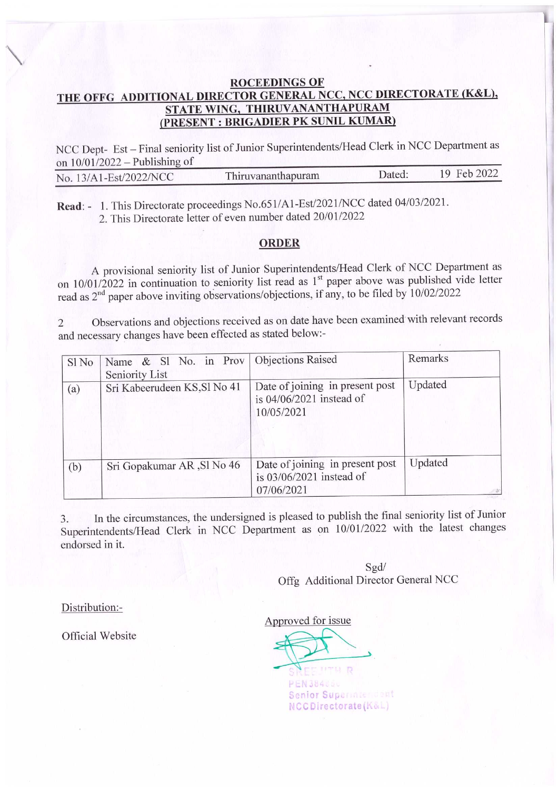## **ROCEEDINGS OF** THE OFFG ADDITIONAL DIRECTOR GENERAL NCC, NCC DIRECTORATE (K&L), STATE WING, THIRUVANANTHAPURAM (PRESENT: BRIGADIER PK SUNIL KUMAR)

NCC Dept- Est - Final seniority list of Junior Superintendents/Head Clerk in NCC Department as on  $10/01/2022$  – Publishing of

| No. 13/A1-Est/2022/NCC | Thiruvananthapuram | Dated: | 19 Feb 2022 |
|------------------------|--------------------|--------|-------------|
|                        |                    |        |             |

Read: - 1. This Directorate proceedings No.651/A1-Est/2021/NCC dated 04/03/2021. 2. This Directorate letter of even number dated 20/01/2022

## **ORDER**

A provisional seniority list of Junior Superintendents/Head Clerk of NCC Department as on 10/01/2022 in continuation to seniority list read as 1<sup>st</sup> paper above was published vide letter read as 2<sup>nd</sup> paper above inviting observations/objections, if any, to be filed by 10/02/2022

Observations and objections received as on date have been examined with relevant records  $\overline{2}$ and necessary changes have been effected as stated below:-

| Sl No | Name & Sl No. in Prov   Objections Raised<br>Seniority List |                                                                             | Remarks |
|-------|-------------------------------------------------------------|-----------------------------------------------------------------------------|---------|
| (a)   | Sri Kabeerudeen KS, Sl No 41                                | Date of joining in present post<br>is $04/06/2021$ instead of<br>10/05/2021 | Updated |
| (b)   | Sri Gopakumar AR, Sl No 46                                  | Date of joining in present post<br>is $03/06/2021$ instead of<br>07/06/2021 | Updated |

In the circumstances, the undersigned is pleased to publish the final seniority list of Junior  $3.$ Superintendents/Head Clerk in NCC Department as on 10/01/2022 with the latest changes endorsed in it.

> Sgd/ Offg Additional Director General NCC

Distribution:-

Official Website

Approved for issue

**IITELD PEN384860** Senior Superinter dent NCCDirectorate(K&L)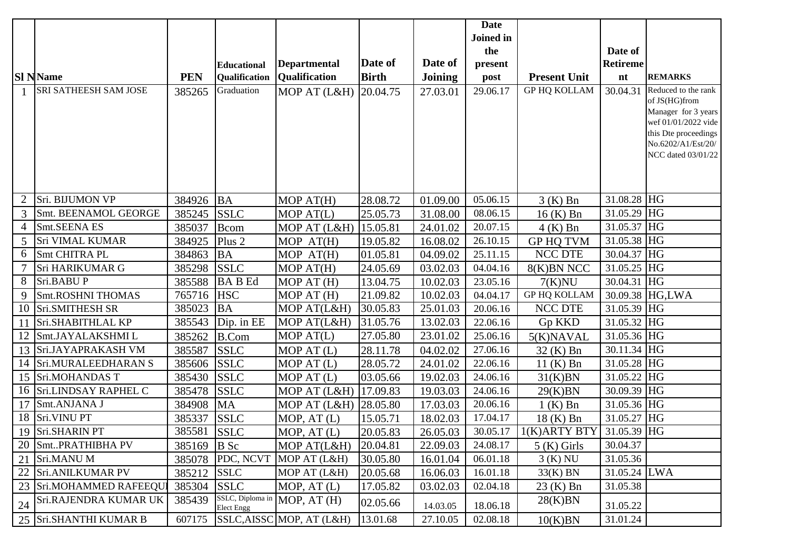|    |                          |             |                      |                              |              |                | <b>Date</b> |                     |                          |                                          |
|----|--------------------------|-------------|----------------------|------------------------------|--------------|----------------|-------------|---------------------|--------------------------|------------------------------------------|
|    |                          |             |                      |                              |              |                | Joined in   |                     |                          |                                          |
|    |                          |             |                      |                              |              |                | the         |                     | Date of                  |                                          |
|    |                          |             | <b>Educational</b>   | <b>Departmental</b>          | Date of      | Date of        | present     |                     | <b>Retireme</b>          |                                          |
|    | <b>SI NName</b>          | <b>PEN</b>  | <b>Qualification</b> | <b>Qualification</b>         | <b>Birth</b> | <b>Joining</b> | post        | <b>Present Unit</b> | nt                       | <b>REMARKS</b>                           |
|    | SRI SATHEESH SAM JOSE    | 385265      | Graduation           | MOP AT (L&H)                 | 20.04.75     | 27.03.01       | 29.06.17    | <b>GP HQ KOLLAM</b> | 30.04.31                 | Reduced to the rank<br>of JS(HG)from     |
|    |                          |             |                      |                              |              |                |             |                     |                          | Manager for 3 years                      |
|    |                          |             |                      |                              |              |                |             |                     |                          | wef 01/01/2022 vide                      |
|    |                          |             |                      |                              |              |                |             |                     |                          | this Dte proceedings                     |
|    |                          |             |                      |                              |              |                |             |                     |                          | No.6202/A1/Est/20/<br>NCC dated 03/01/22 |
|    |                          |             |                      |                              |              |                |             |                     |                          |                                          |
|    |                          |             |                      |                              |              |                |             |                     |                          |                                          |
|    |                          |             |                      |                              |              |                |             |                     |                          |                                          |
| 2  | Sri. BIJUMON VP          | 384926 BA   |                      | MOP AT(H)                    | 28.08.72     | 01.09.00       | 05.06.15    | $3(K)$ Bn           | 31.08.28 HG              |                                          |
| 3  | Smt. BEENAMOL GEORGE     | 385245      | <b>SSLC</b>          | MOP AT(L)                    | 25.05.73     | 31.08.00       | 08.06.15    | $16(K)$ Bn          | 31.05.29 HG              |                                          |
| 4  | Smt.SEENA ES             | 385037      | Bcom                 | MOP AT (L&H)                 | 15.05.81     | 24.01.02       | 20.07.15    | $4(K)$ Bn           | 31.05.37 HG              |                                          |
| 5  | <b>Sri VIMAL KUMAR</b>   | 384925      | Plus <sub>2</sub>    | MOP AT(H)                    | 19.05.82     | 16.08.02       | 26.10.15    | <b>GP HQ TVM</b>    | 31.05.38 $H\overline{G}$ |                                          |
| 6  | Smt CHITRA PL            | 384863      | <b>BA</b>            | MOP AT(H)                    | 01.05.81     | 04.09.02       | 25.11.15    | NCC DTE             | 30.04.37 HG              |                                          |
|    | Sri HARIKUMAR G          | 385298      | <b>SSLC</b>          | MOP AT(H)                    | 24.05.69     | 03.02.03       | 04.04.16    | 8(K)BN NCC          | 31.05.25 HG              |                                          |
| 8  | Sri.BABUP                | 385588      | <b>BABEd</b>         | MOP AT (H)                   | 13.04.75     | 10.02.03       | 23.05.16    | 7(K)NU              | 30.04.31                 | HG                                       |
| 9  | <b>Smt.ROSHNI THOMAS</b> | 765716 HSC  |                      | MOP AT (H)                   | 21.09.82     | 10.02.03       | 04.04.17    | <b>GP HQ KOLLAM</b> |                          | 30.09.38 HG,LWA                          |
| 10 | Sri.SMITHESH SR          | 385023      | <b>BA</b>            | MOP AT(L&H)                  | 30.05.83     | 25.01.03       | 20.06.16    | NCC DTE             | 31.05.39 HG              |                                          |
| 11 | Sri.SHABITHLAL KP        | 385543      | Dip. in EE           | MOP AT(L&H)                  | 31.05.76     | 13.02.03       | 22.06.16    | Gp KKD              | 31.05.32 $H\overline{G}$ |                                          |
| 12 | Smt.JAYALAKSHMI L        | 385262      | B.Com                | MOP AT(L)                    | 27.05.80     | 23.01.02       | 25.06.16    | 5(K)NAVAL           | 31.05.36 HG              |                                          |
| 13 | Sri.JAYAPRAKASH VM       | 385587      | <b>SSLC</b>          | MOP AT (L)                   | 28.11.78     | 04.02.02       | 27.06.16    | 32 (K) Bn           | 30.11.34 HG              |                                          |
| 14 | Sri.MURALEEDHARAN S      | 385606      | <b>SSLC</b>          | MOP AT (L)                   | 28.05.72     | 24.01.02       | 22.06.16    | $11$ (K) Bn         | 31.05.28 HG              |                                          |
| 15 | Sri.MOHANDAS T           | 385430      | <b>SSLC</b>          | MOP AT (L)                   | 03.05.66     | 19.02.03       | 24.06.16    | 31(K)BN             | 31.05.22 HG              |                                          |
| 16 | Sri.LINDSAY RAPHEL C     | 385478      | <b>SSLC</b>          | MOP AT (L&H)                 | 17.09.83     | 19.03.03       | 24.06.16    | 29(K)BN             | 30.09.39 HG              |                                          |
| 17 | Smt.ANJANA J             | 384908      | <b>MA</b>            | MOP AT (L&H)                 | 28.05.80     | 17.03.03       | 20.06.16    | $1(K)$ Bn           | 31.05.36 HG              |                                          |
| 18 | Sri.VINU PT              | 385337      | <b>SSLC</b>          | MOP, AT (L)                  | 15.05.71     | 18.02.03       | 17.04.17    | 18 (K) Bn           | 31.05.27 HG              |                                          |
| 19 | Sri.SHARIN PT            | 385581      | <b>SSLC</b>          | MOP, AT (L)                  | 20.05.83     | 26.05.03       | 30.05.17    | 1(K)ARTY BTY        | 31.05.39 HG              |                                          |
| 20 | SmtPRATHIBHA PV          | 385169 B Sc |                      | MOP AT(L&H)                  | 20.04.81     | 22.09.03       | 24.08.17    | $5(K)$ Girls        | 30.04.37                 |                                          |
| 21 | Sri.MANU M               | 385078      | PDC, NCVT            | MOP AT (L&H)                 | 30.05.80     | 16.01.04       | 06.01.18    | $3(K)$ NU           | 31.05.36                 |                                          |
| 22 | Sri.ANILKUMAR PV         | 385212 SSLC |                      | MOP AT (L&H)                 | 20.05.68     | 16.06.03       | 16.01.18    | $33(K)$ BN          | 31.05.24 LWA             |                                          |
| 23 | Sri.MOHAMMED RAFEEQUI    | 385304 SSLC |                      | MOP, $AT(L)$                 | 17.05.82     | 03.02.03       | 02.04.18    | $23(K)$ Bn          | 31.05.38                 |                                          |
| 24 | Sri.RAJENDRA KUMAR UK    | 385439      | <b>Elect Engg</b>    | SSLC, Diploma in MOP, AT (H) | 02.05.66     | 14.03.05       | 18.06.18    | 28(K)BN             | 31.05.22                 |                                          |
|    | 25 Sri.SHANTHI KUMAR B   | 607175      |                      | SSLC, AISSC MOP, AT (L&H)    | 13.01.68     | 27.10.05       | 02.08.18    | 10(K)BN             | 31.01.24                 |                                          |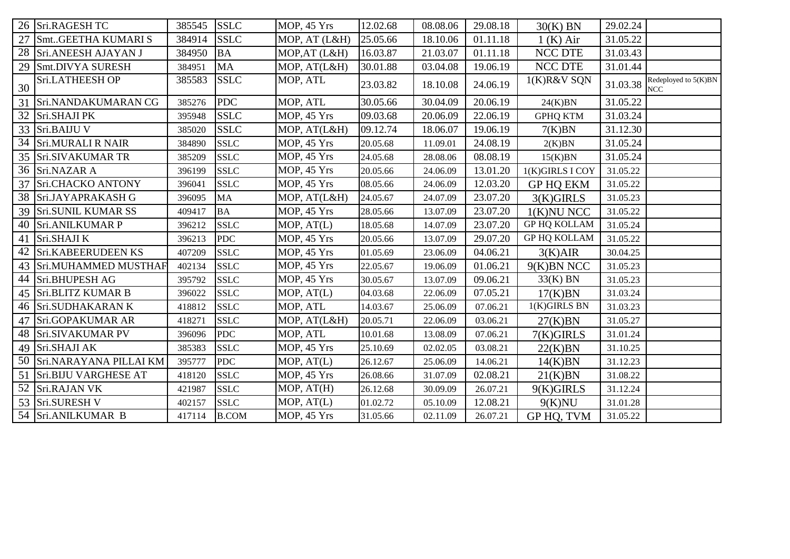|                 | 26 Sri.RAGESH TC          | 385545 | <b>SSLC</b>  | <b>MOP, 45 Yrs</b> | 12.02.68 | 08.08.06 | 29.08.18 | $30(K)$ BN          | 29.02.24 |                                    |
|-----------------|---------------------------|--------|--------------|--------------------|----------|----------|----------|---------------------|----------|------------------------------------|
| 27              | SmtGEETHA KUMARI S        | 384914 | <b>SSLC</b>  | MOP, AT (L&H)      | 25.05.66 | 18.10.06 | 01.11.18 | 1(K) Air            | 31.05.22 |                                    |
| 28              | Sri.ANEESH AJAYAN J       | 384950 | BA           | MOP, AT (L&H)      | 16.03.87 | 21.03.07 | 01.11.18 | <b>NCC DTE</b>      | 31.03.43 |                                    |
| 29              | Smt.DIVYA SURESH          | 384951 | <b>MA</b>    | MOP, AT(L&H)       | 30.01.88 | 03.04.08 | 19.06.19 | <b>NCC DTE</b>      | 31.01.44 |                                    |
| 30              | Sri.LATHEESH OP           | 385583 | <b>SSLC</b>  | MOP, ATL           | 23.03.82 | 18.10.08 | 24.06.19 | 1(K)R&V SQN         | 31.03.38 | Redeployed to 5(K)BN<br><b>NCC</b> |
| 31              | Sri.NANDAKUMARAN CG       | 385276 | <b>PDC</b>   | MOP, ATL           | 30.05.66 | 30.04.09 | 20.06.19 | 24(K)BN             | 31.05.22 |                                    |
| 32              | Sri.SHAJI PK              | 395948 | <b>SSLC</b>  | MOP, 45 Yrs        | 09.03.68 | 20.06.09 | 22.06.19 | <b>GPHQ KTM</b>     | 31.03.24 |                                    |
|                 | 33 Sri.BAIJU V            | 385020 | <b>SSLC</b>  | MOP, AT(L&H)       | 09.12.74 | 18.06.07 | 19.06.19 | 7(K)BN              | 31.12.30 |                                    |
| 34              | <b>Sri.MURALI R NAIR</b>  | 384890 | <b>SSLC</b>  | MOP, 45 Yrs        | 20.05.68 | 11.09.01 | 24.08.19 | 2(K)BN              | 31.05.24 |                                    |
|                 | 35 Sri.SIVAKUMAR TR       | 385209 | <b>SSLC</b>  | MOP, 45 Yrs        | 24.05.68 | 28.08.06 | 08.08.19 | 15(K)BN             | 31.05.24 |                                    |
| 36 <sup>1</sup> | Sri.NAZAR A               | 396199 | <b>SSLC</b>  | <b>MOP, 45 Yrs</b> | 20.05.66 | 24.06.09 | 13.01.20 | 1(K)GIRLS I COY     | 31.05.22 |                                    |
| 37              | Sri.CHACKO ANTONY         | 396041 | <b>SSLC</b>  | MOP, 45 Yrs        | 08.05.66 | 24.06.09 | 12.03.20 | <b>GP HQ EKM</b>    | 31.05.22 |                                    |
|                 | 38 Sri.JAYAPRAKASH G      | 396095 | MA           | MOP, AT(L&H)       | 24.05.67 | 24.07.09 | 23.07.20 | $3(K)$ GIRLS        | 31.05.23 |                                    |
| 39              | <b>Sri.SUNIL KUMAR SS</b> | 409417 | BA           | MOP, 45 Yrs        | 28.05.66 | 13.07.09 | 23.07.20 | $1(K)$ NU NCC       | 31.05.22 |                                    |
| 40              | Sri.ANILKUMAR P           | 396212 | <b>SSLC</b>  | MOP, AT(L)         | 18.05.68 | 14.07.09 | 23.07.20 | <b>GP HQ KOLLAM</b> | 31.05.24 |                                    |
| 41              | Sri.SHAJI K               | 396213 | <b>PDC</b>   | MOP, 45 Yrs        | 20.05.66 | 13.07.09 | 29.07.20 | <b>GP HQ KOLLAM</b> | 31.05.22 |                                    |
| 42              | Sri.KABEERUDEEN KS        | 407209 | <b>SSLC</b>  | <b>MOP, 45 Yrs</b> | 01.05.69 | 23.06.09 | 04.06.21 | 3(K)AIR             | 30.04.25 |                                    |
|                 | 43 Sri.MUHAMMED MUSTHAF   | 402134 | <b>SSLC</b>  | MOP, 45 Yrs        | 22.05.67 | 19.06.09 | 01.06.21 | 9(K)BN NCC          | 31.05.23 |                                    |
|                 | 44 Sri.BHUPESH AG         | 395792 | <b>SSLC</b>  | MOP, 45 Yrs        | 30.05.67 | 13.07.09 | 09.06.21 | $33(K)$ BN          | 31.05.23 |                                    |
|                 | 45   Sri.BLITZ KUMAR B    | 396022 | <b>SSLC</b>  | MOP, AT(L)         | 04.03.68 | 22.06.09 | 07.05.21 | 17(K)BN             | 31.03.24 |                                    |
|                 | 46 Sri.SUDHAKARAN K       | 418812 | <b>SSLC</b>  | MOP, ATL           | 14.03.67 | 25.06.09 | 07.06.21 | 1(K)GIRLS BN        | 31.03.23 |                                    |
| 47              | Sri.GOPAKUMAR AR          | 418271 | <b>SSLC</b>  | MOP, AT(L&H)       | 20.05.71 | 22.06.09 | 03.06.21 | 27(K)BN             | 31.05.27 |                                    |
|                 | 48 Sri.SIVAKUMAR PV       | 396096 | <b>PDC</b>   | MOP, ATL           | 10.01.68 | 13.08.09 | 07.06.21 | $7(K)$ GIRLS        | 31.01.24 |                                    |
| 49              | Sri.SHAJI AK              | 385383 | <b>SSLC</b>  | MOP, 45 Yrs        | 25.10.69 | 02.02.05 | 03.08.21 | 22(K)BN             | 31.10.25 |                                    |
|                 | 50 Sri.NARAYANA PILLAI KM | 395777 | <b>PDC</b>   | MOP, AT(L)         | 26.12.67 | 25.06.09 | 14.06.21 | 14(K)BN             | 31.12.23 |                                    |
| 51              | Sri.BIJU VARGHESE AT      | 418120 | <b>SSLC</b>  | MOP, 45 Yrs        | 26.08.66 | 31.07.09 | 02.08.21 | 21(K)BN             | 31.08.22 |                                    |
|                 | 52 Sri.RAJAN VK           | 421987 | <b>SSLC</b>  | MOP, AT(H)         | 26.12.68 | 30.09.09 | 26.07.21 | $9(K)$ GIRLS        | 31.12.24 |                                    |
|                 | 53 Sri.SURESH V           | 402157 | <b>SSLC</b>  | MOP, AT(L)         | 01.02.72 | 05.10.09 | 12.08.21 | 9(K)NU              | 31.01.28 |                                    |
|                 | 54 Sri.ANILKUMAR B        | 417114 | <b>B.COM</b> | MOP, 45 Yrs        | 31.05.66 | 02.11.09 | 26.07.21 | GP HQ, TVM          | 31.05.22 |                                    |